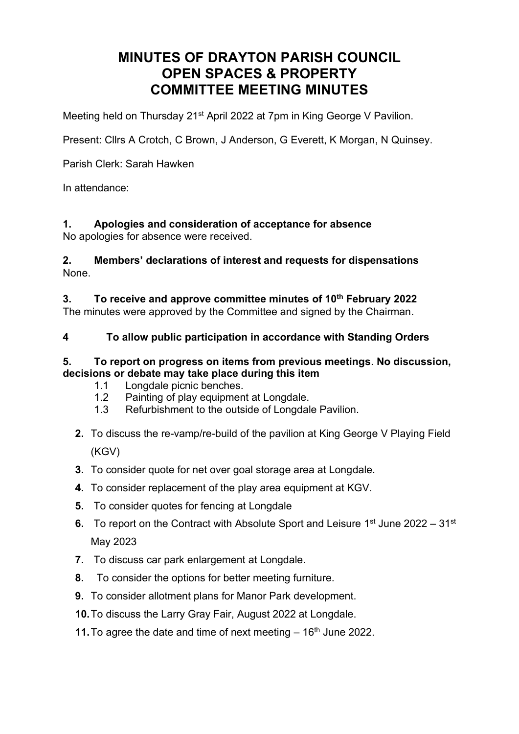# **MINUTES OF DRAYTON PARISH COUNCIL OPEN SPACES & PROPERTY COMMITTEE MEETING MINUTES**

Meeting held on Thursday 21<sup>st</sup> April 2022 at 7pm in King George V Pavilion.

Present: Cllrs A Crotch, C Brown, J Anderson, G Everett, K Morgan, N Quinsey.

Parish Clerk: Sarah Hawken

In attendance:

## **1. Apologies and consideration of acceptance for absence**

No apologies for absence were received.

## **2. Members' declarations of interest and requests for dispensations** None.

**3. To receive and approve committee minutes of 10th February 2022**

The minutes were approved by the Committee and signed by the Chairman.

## **4 To allow public participation in accordance with Standing Orders**

### **5. To report on progress on items from previous meetings**. **No discussion, decisions or debate may take place during this item**

- 1.1 Longdale picnic benches.
- 1.2 Painting of play equipment at Longdale.
- 1.3 Refurbishment to the outside of Longdale Pavilion.
- **2.** To discuss the re-vamp/re-build of the pavilion at King George V Playing Field (KGV)
- **3.** To consider quote for net over goal storage area at Longdale.
- **4.** To consider replacement of the play area equipment at KGV.
- **5.** To consider quotes for fencing at Longdale
- **6.** To report on the Contract with Absolute Sport and Leisure 1<sup>st</sup> June 2022 31<sup>st</sup> May 2023
- **7.** To discuss car park enlargement at Longdale.
- **8.** To consider the options for better meeting furniture.
- **9.** To consider allotment plans for Manor Park development.
- **10.**To discuss the Larry Gray Fair, August 2022 at Longdale.
- **11.** To agree the date and time of next meeting 16<sup>th</sup> June 2022.